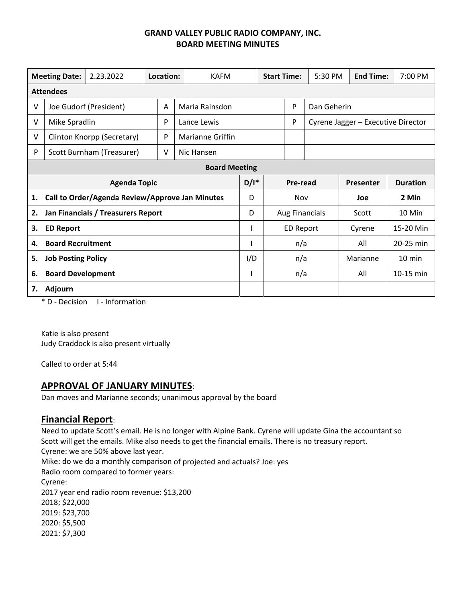## **GRAND VALLEY PUBLIC RADIO COMPANY, INC. BOARD MEETING MINUTES**

| <b>Meeting Date:</b>                     |                                                 | 2.23.2022                 | Location: |                     | <b>KAFM</b>             |         | <b>Start Time:</b> |                       | 5:30 PM | <b>End Time:</b>                   | 7:00 PM          |  |
|------------------------------------------|-------------------------------------------------|---------------------------|-----------|---------------------|-------------------------|---------|--------------------|-----------------------|---------|------------------------------------|------------------|--|
| <b>Attendees</b>                         |                                                 |                           |           |                     |                         |         |                    |                       |         |                                    |                  |  |
| $\vee$                                   | Joe Gudorf (President)                          |                           |           | Maria Rainsdon<br>A |                         |         |                    | P<br>Dan Geherin      |         |                                    |                  |  |
| V                                        | Mike Spradlin                                   |                           |           | P                   | Lance Lewis             |         |                    | P                     |         | Cyrene Jagger - Executive Director |                  |  |
| V                                        | Clinton Knorpp (Secretary)                      |                           |           | P                   | <b>Marianne Griffin</b> |         |                    |                       |         |                                    |                  |  |
| P                                        |                                                 | Scott Burnham (Treasurer) |           | ٧                   | Nic Hansen              |         |                    |                       |         |                                    |                  |  |
| <b>Board Meeting</b>                     |                                                 |                           |           |                     |                         |         |                    |                       |         |                                    |                  |  |
|                                          | <b>Agenda Topic</b>                             |                           |           |                     |                         | $D/I^*$ |                    | Pre-read              |         | Presenter                          | <b>Duration</b>  |  |
| 1.                                       | Call to Order/Agenda Review/Approve Jan Minutes |                           |           |                     |                         | D       |                    | Nov                   |         | Joe                                | 2 Min            |  |
| Jan Financials / Treasurers Report<br>2. |                                                 |                           |           |                     |                         | D       |                    | <b>Aug Financials</b> |         | Scott                              | 10 Min           |  |
| 3.                                       | <b>ED Report</b>                                |                           |           |                     |                         |         |                    | ED Report             |         | Cyrene                             | 15-20 Min        |  |
| 4.                                       | <b>Board Recruitment</b>                        |                           |           |                     |                         |         |                    | n/a                   |         | All                                | 20-25 min        |  |
| 5.                                       | <b>Job Posting Policy</b>                       |                           |           |                     |                         | I/D     |                    | n/a                   |         | Marianne                           | $10 \text{ min}$ |  |
| 6.                                       | <b>Board Development</b>                        |                           |           |                     |                         |         |                    | n/a                   |         | All                                | 10-15 min        |  |
| <b>Adjourn</b><br>7.                     |                                                 |                           |           |                     |                         |         |                    |                       |         |                                    |                  |  |

\* D ‐ Decision I ‐ Information

Katie is also present Judy Craddock is also present virtually

Called to order at 5:44

# **APPROVAL OF JANUARY MINUTES**:

Dan moves and Marianne seconds; unanimous approval by the board

## **Financial Report**:

Need to update Scott's email. He is no longer with Alpine Bank. Cyrene will update Gina the accountant so Scott will get the emails. Mike also needs to get the financial emails. There is no treasury report. Cyrene: we are 50% above last year. Mike: do we do a monthly comparison of projected and actuals? Joe: yes Radio room compared to former years: Cyrene: 2017 year end radio room revenue: \$13,200 2018; \$22,000 2019: \$23,700 2020: \$5,500 2021: \$7,300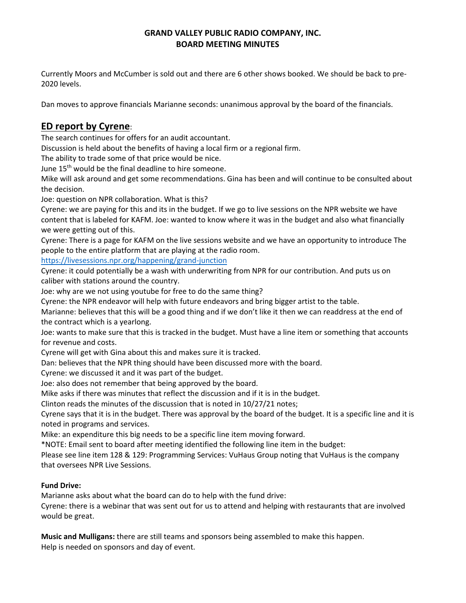## **GRAND VALLEY PUBLIC RADIO COMPANY, INC. BOARD MEETING MINUTES**

Currently Moors and McCumber is sold out and there are 6 other shows booked. We should be back to pre‐ 2020 levels.

Dan moves to approve financials Marianne seconds: unanimous approval by the board of the financials.

# **ED report by Cyrene**:

The search continues for offers for an audit accountant.

Discussion is held about the benefits of having a local firm or a regional firm.

The ability to trade some of that price would be nice.

June 15<sup>th</sup> would be the final deadline to hire someone.

Mike will ask around and get some recommendations. Gina has been and will continue to be consulted about the decision.

Joe: question on NPR collaboration. What is this?

Cyrene: we are paying for this and its in the budget. If we go to live sessions on the NPR website we have content that is labeled for KAFM. Joe: wanted to know where it was in the budget and also what financially we were getting out of this.

Cyrene: There is a page for KAFM on the live sessions website and we have an opportunity to introduce The people to the entire platform that are playing at the radio room.

https://livesessions.npr.org/happening/grand‐junction

Cyrene: it could potentially be a wash with underwriting from NPR for our contribution. And puts us on caliber with stations around the country.

Joe: why are we not using youtube for free to do the same thing?

Cyrene: the NPR endeavor will help with future endeavors and bring bigger artist to the table.

Marianne: believes that this will be a good thing and if we don't like it then we can readdress at the end of the contract which is a yearlong.

Joe: wants to make sure that this is tracked in the budget. Must have a line item or something that accounts for revenue and costs.

Cyrene will get with Gina about this and makes sure it is tracked.

Dan: believes that the NPR thing should have been discussed more with the board.

Cyrene: we discussed it and it was part of the budget.

Joe: also does not remember that being approved by the board.

Mike asks if there was minutes that reflect the discussion and if it is in the budget.

Clinton reads the minutes of the discussion that is noted in 10/27/21 notes;

Cyrene says that it is in the budget. There was approval by the board of the budget. It is a specific line and it is noted in programs and services.

Mike: an expenditure this big needs to be a specific line item moving forward.

\*NOTE: Email sent to board after meeting identified the following line item in the budget:

Please see line item 128 & 129: Programming Services: VuHaus Group noting that VuHaus is the company that oversees NPR Live Sessions.

#### **Fund Drive:**

Marianne asks about what the board can do to help with the fund drive:

Cyrene: there is a webinar that was sent out for us to attend and helping with restaurants that are involved would be great.

**Music and Mulligans:** there are still teams and sponsors being assembled to make this happen. Help is needed on sponsors and day of event.